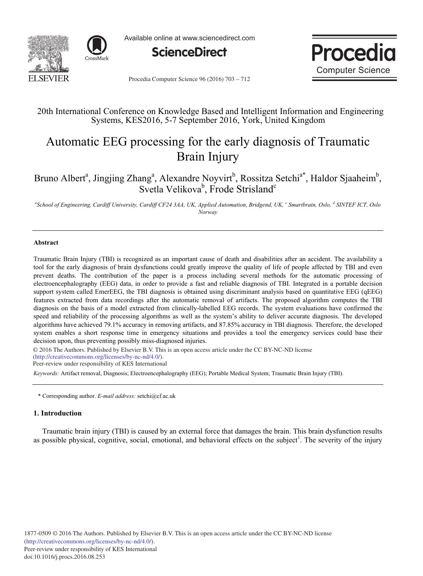



Available online at www.sciencedirect.com





Procedia Computer Science 96 (2016) 703 - 712

## 20th International Conference on Knowledge Based and Intelligent Information and Engineering Systems, KES2016, 5-7 September 2016, York, United Kingdom

# Automatic EEG processing for the early diagnosis of Traumatic Brain Injury

Bruno Albert<sup>a</sup>, Jingjing Zhang<sup>a</sup>, Alexandre Noyvirt<sup>b</sup>, Rossitza Setchi<sup>a\*</sup>, Haldor Sjaaheim<sup>b</sup>, Svetla Velikova<sup>b</sup>, Frode Strisland<sup>c</sup>

*a School of Engineering, Cardiff University, Cardiff CF24 3AA, UK, Applied Automation, Bridgend, UK, <sup>c</sup> Smartbrain, Oslo, <sup>d</sup> SINTEF ICT, Oslo Norway* 

## **Abstract**

Traumatic Brain Injury (TBI) is recognized as an important cause of death and disabilities after an accident. The availability a tool for the early diagnosis of brain dysfunctions could greatly improve the quality of life of people affected by TBI and even prevent deaths. The contribution of the paper is a process including several methods for the automatic processing of electroencephalography (EEG) data, in order to provide a fast and reliable diagnosis of TBI. Integrated in a portable decision support system called EmerEEG, the TBI diagnosis is obtained using discriminant analysis based on quantitative EEG (qEEG) features extracted from data recordings after the automatic removal of artifacts. The proposed algorithm computes the TBI diagnosis on the basis of a model extracted from clinically-labelled EEG records. The system evaluations have confirmed the speed and reliability of the processing algorithms as well as the system's ability to deliver accurate diagnosis. The developed algorithms have achieved 79.1% accuracy in removing artifacts, and 87.85% accuracy in TBI diagnosis. Therefore, the developed system enables a short response time in emergency situations and provides a tool the emergency services could base their decision upon, thus preventing possibly miss-diagnosed injuries.

© 2016 The Authors. Published by Elsevier B.V. © 2016 The Authors. Published by Elsevier B.V. This is an open access article under the CC BY-NC-ND license (http://creativecommons.org/licenses/by-nc-nd/4.0/).

Peer-review under responsibility of KES International

*Keywords:* Artifact removal, Diagnosis; Electroencephalography (EEG); Portable Medical System; Traumatic Brain Injury (TBI).

\* Corresponding author. *E-mail address:* setchi@cf.ac.uk

## **1. Introduction**

Traumatic brain injury (TBI) is caused by an external force that damages the brain. This brain dysfunction results as possible physical, cognitive, social, emotional, and behavioral effects on the subject<sup>1</sup>. The severity of the injury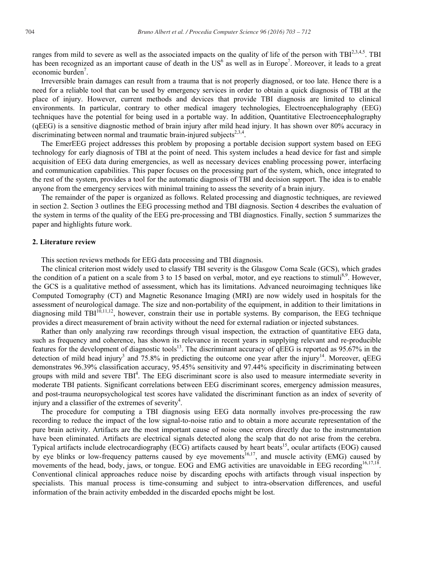ranges from mild to severe as well as the associated impacts on the quality of life of the person with  $TBI^{2,3,4,5}$ . TBI has been recognized as an important cause of death in the US<sup>6</sup> as well as in Europe<sup>7</sup>. Moreover, it leads to a great economic burden<sup>7</sup>.

Irreversible brain damages can result from a trauma that is not properly diagnosed, or too late. Hence there is a need for a reliable tool that can be used by emergency services in order to obtain a quick diagnosis of TBI at the place of injury. However, current methods and devices that provide TBI diagnosis are limited to clinical environments. In particular, contrary to other medical imagery technologies, Electroencephalography (EEG) techniques have the potential for being used in a portable way. In addition, Quantitative Electroencephalography (qEEG) is a sensitive diagnostic method of brain injury after mild head injury. It has shown over 80% accuracy in discriminating between normal and traumatic brain-injured subjects<sup>2,3,4</sup>.

The EmerEEG project addresses this problem by proposing a portable decision support system based on EEG technology for early diagnosis of TBI at the point of need. This system includes a head device for fast and simple acquisition of EEG data during emergencies, as well as necessary devices enabling processing power, interfacing and communication capabilities. This paper focuses on the processing part of the system, which, once integrated to the rest of the system, provides a tool for the automatic diagnosis of TBI and decision support. The idea is to enable anyone from the emergency services with minimal training to assess the severity of a brain injury.

The remainder of the paper is organized as follows. Related processing and diagnostic techniques, are reviewed in section 2. Section 3 outlines the EEG processing method and TBI diagnosis. Section 4 describes the evaluation of the system in terms of the quality of the EEG pre-processing and TBI diagnostics. Finally, section 5 summarizes the paper and highlights future work.

## **2. Literature review**

This section reviews methods for EEG data processing and TBI diagnosis.

The clinical criterion most widely used to classify TBI severity is the Glasgow Coma Scale (GCS), which grades the condition of a patient on a scale from 3 to 15 based on verbal, motor, and eye reactions to stimuli<sup>8,9</sup>. However, the GCS is a qualitative method of assessment, which has its limitations. Advanced neuroimaging techniques like Computed Tomography (CT) and Magnetic Resonance Imaging (MRI) are now widely used in hospitals for the assessment of neurological damage. The size and non-portability of the equipment, in addition to their limitations in diagnosing mild  $TBI^{10,11,12}$ , however, constrain their use in portable systems. By comparison, the EEG technique provides a direct measurement of brain activity without the need for external radiation or injected substances.

Rather than only analyzing raw recordings through visual inspection, the extraction of quantitative EEG data, such as frequency and coherence, has shown its relevance in recent years in supplying relevant and re-producible features for the development of diagnostic tools<sup>13</sup>. The discriminant accuracy of  $qEEG$  is reported as 95.67% in the detection of mild head injury<sup>3</sup> and 75.8% in predicting the outcome one year after the injury<sup>14</sup>. Moreover, qEEG demonstrates 96.39% classification accuracy, 95.45% sensitivity and 97.44% specificity in discriminating between groups with mild and severe  $TBI<sup>4</sup>$ . The EEG discriminant score is also used to measure intermediate severity in moderate TBI patients. Significant correlations between EEG discriminant scores, emergency admission measures, and post-trauma neuropsychological test scores have validated the discriminant function as an index of severity of injury and a classifier of the extremes of severity<sup>4</sup>.

The procedure for computing a TBI diagnosis using EEG data normally involves pre-processing the raw recording to reduce the impact of the low signal-to-noise ratio and to obtain a more accurate representation of the pure brain activity. Artifacts are the most important cause of noise once errors directly due to the instrumentation have been eliminated. Artifacts are electrical signals detected along the scalp that do not arise from the cerebra. Typical artifacts include electrocardiography (ECG) artifacts caused by heart beats<sup>15</sup>, ocular artifacts (EOG) caused by eye blinks or low-frequency patterns caused by eye movements<sup>16,17</sup>, and muscle activity (EMG) caused by movements of the head, body, jaws, or tongue. EOG and EMG activities are unavoidable in EEG recording<sup>16,17,18</sup>. Conventional clinical approaches reduce noise by discarding epochs with artifacts through visual inspection by specialists. This manual process is time-consuming and subject to intra-observation differences, and useful information of the brain activity embedded in the discarded epochs might be lost.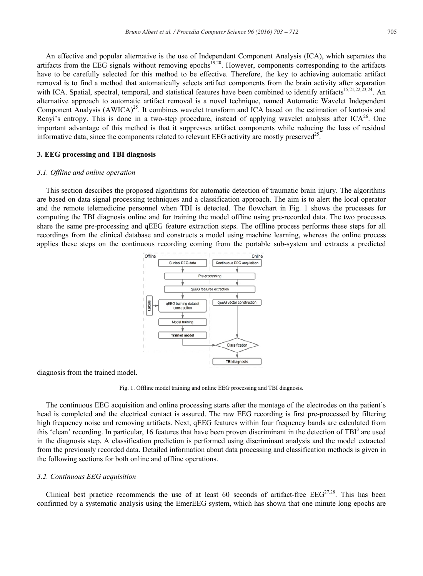An effective and popular alternative is the use of Independent Component Analysis (ICA), which separates the artifacts from the EEG signals without removing epochs<sup>19,20</sup>. However, components corresponding to the artifacts have to be carefully selected for this method to be effective. Therefore, the key to achieving automatic artifact removal is to find a method that automatically selects artifact components from the brain activity after separation with ICA. Spatial, spectral, temporal, and statistical features have been combined to identify artifacts<sup>15,21,22,23,24</sup>. An alternative approach to automatic artifact removal is a novel technique, named Automatic Wavelet Independent Component Analysis (AWICA)<sup>25</sup>. It combines wavelet transform and ICA based on the estimation of kurtosis and Renyi's entropy. This is done in a two-step procedure, instead of applying wavelet analysis after  $ICA^{26}$ . One important advantage of this method is that it suppresses artifact components while reducing the loss of residual informative data, since the components related to relevant EEG activity are mostly preserved<sup>25</sup>.

## **3. EEG processing and TBI diagnosis**

#### *3.1. Offline and online operation*

This section describes the proposed algorithms for automatic detection of traumatic brain injury. The algorithms are based on data signal processing techniques and a classification approach. The aim is to alert the local operator and the remote telemedicine personnel when TBI is detected. The flowchart in Fig. 1 shows the processes for computing the TBI diagnosis online and for training the model offline using pre-recorded data. The two processes share the same pre-processing and qEEG feature extraction steps. The offline process performs these steps for all recordings from the clinical database and constructs a model using machine learning, whereas the online process applies these steps on the continuous recording coming from the portable sub-system and extracts a predicted



diagnosis from the trained model.

Fig. 1. Offline model training and online EEG processing and TBI diagnosis.

The continuous EEG acquisition and online processing starts after the montage of the electrodes on the patient's head is completed and the electrical contact is assured. The raw EEG recording is first pre-processed by filtering high frequency noise and removing artifacts. Next, qEEG features within four frequency bands are calculated from this 'clean' recording. In particular, 16 features that have been proven discriminant in the detection of TBI<sup>3</sup> are used in the diagnosis step. A classification prediction is performed using discriminant analysis and the model extracted from the previously recorded data. Detailed information about data processing and classification methods is given in the following sections for both online and offline operations.

#### *3.2. Continuous EEG acquisition*

Clinical best practice recommends the use of at least 60 seconds of artifact-free  $EEG<sup>27,28</sup>$ . This has been confirmed by a systematic analysis using the EmerEEG system, which has shown that one minute long epochs are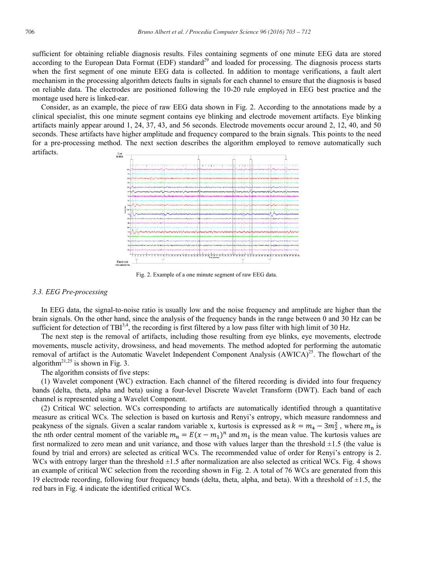sufficient for obtaining reliable diagnosis results. Files containing segments of one minute EEG data are stored according to the European Data Format (EDF) standard<sup>29</sup> and loaded for processing. The diagnosis process starts when the first segment of one minute EEG data is collected. In addition to montage verifications, a fault alert mechanism in the processing algorithm detects faults in signals for each channel to ensure that the diagnosis is based on reliable data. The electrodes are positioned following the 10-20 rule employed in EEG best practice and the montage used here is linked-ear.

Consider, as an example, the piece of raw EEG data shown in Fig. 2. According to the annotations made by a clinical specialist, this one minute segment contains eye blinking and electrode movement artifacts. Eye blinking artifacts mainly appear around 1, 24, 37, 43, and 56 seconds. Electrode movements occur around 2, 12, 40, and 50 seconds. These artifacts have higher amplitude and frequency compared to the brain signals. This points to the need for a pre-processing method. The next section describes the algorithm employed to remove automatically such artifacts. Eye<br>blinks



Fig. 2. Example of a one minute segment of raw EEG data.

#### *3.3. EEG Pre-processing*

In EEG data, the signal-to-noise ratio is usually low and the noise frequency and amplitude are higher than the brain signals. On the other hand, since the analysis of the frequency bands in the range between 0 and 30 Hz can be sufficient for detection of TBI<sup>3,4</sup>, the recording is first filtered by a low pass filter with high limit of 30 Hz.

The next step is the removal of artifacts, including those resulting from eye blinks, eye movements, electrode movements, muscle activity, drowsiness, and head movements. The method adopted for performing the automatic removal of artifact is the Automatic Wavelet Independent Component Analysis  $(AWICA)^{25}$ . The flowchart of the algorithm<sup>21,25</sup> is shown in Fig. 3.

The algorithm consists of five steps:

(1) Wavelet component (WC) extraction. Each channel of the filtered recording is divided into four frequency bands (delta, theta, alpha and beta) using a four-level Discrete Wavelet Transform (DWT). Each band of each channel is represented using a Wavelet Component.

(2) Critical WC selection. WCs corresponding to artifacts are automatically identified through a quantitative measure as critical WCs. The selection is based on kurtosis and Renyi's entropy, which measure randomness and peakyness of the signals. Given a scalar random variable x, kurtosis is expressed as  $k = m_4 - 3m_2^2$ , where  $m_n$  is the nth order central moment of the variable  $m_n = E(x - m_1)^n$  and  $m_1$  is the mean value. The kurtosis values are first normalized to zero mean and unit variance, and those with values larger than the threshold  $\pm 1.5$  (the value is found by trial and errors) are selected as critical WCs. The recommended value of order for Renyi's entropy is 2. WCs with entropy larger than the threshold  $\pm 1.5$  after normalization are also selected as critical WCs. Fig. 4 shows an example of critical WC selection from the recording shown in Fig. 2. A total of 76 WCs are generated from this 19 electrode recording, following four frequency bands (delta, theta, alpha, and beta). With a threshold of  $\pm 1.5$ , the red bars in Fig. 4 indicate the identified critical WCs.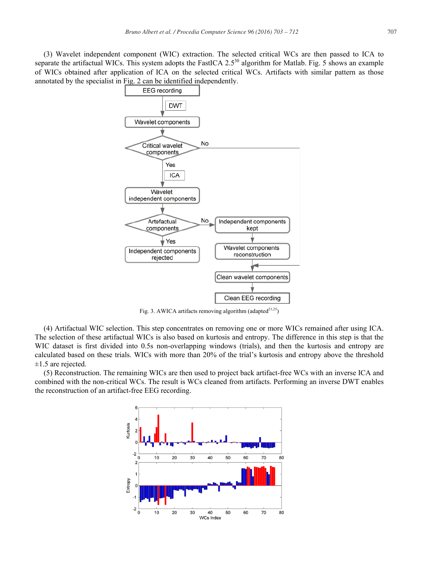(3) Wavelet independent component (WIC) extraction. The selected critical WCs are then passed to ICA to separate the artifactual WICs. This system adopts the FastICA 2.5<sup>30</sup> algorithm for Matlab. Fig. 5 shows an example of WICs obtained after application of ICA on the selected critical WCs. Artifacts with similar pattern as those annotated by the specialist in Fig. 2 can be identified independently.



Fig. 3. AWICA artifacts removing algorithm (adapted<sup>21,25</sup>)

(4) Artifactual WIC selection. This step concentrates on removing one or more WICs remained after using ICA. The selection of these artifactual WICs is also based on kurtosis and entropy. The difference in this step is that the WIC dataset is first divided into 0.5s non-overlapping windows (trials), and then the kurtosis and entropy are calculated based on these trials. WICs with more than 20% of the trial's kurtosis and entropy above the threshold  $\pm 1.5$  are rejected.

(5) Reconstruction. The remaining WICs are then used to project back artifact-free WCs with an inverse ICA and combined with the non-critical WCs. The result is WCs cleaned from artifacts. Performing an inverse DWT enables the reconstruction of an artifact-free EEG recording.

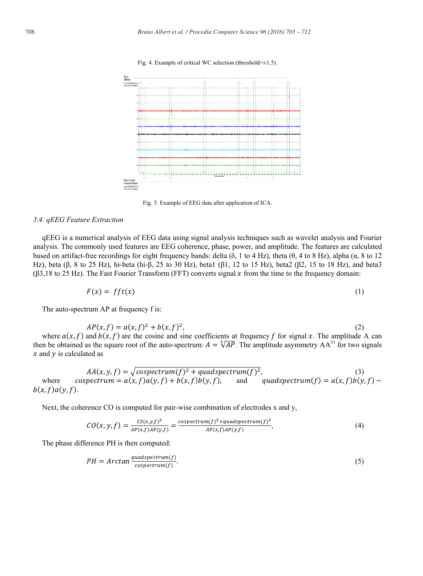



Fig. 5. Example of EEG data after application of ICA.

#### *3.4. qEEG Feature Extraction*

qEEG is a numerical analysis of EEG data using signal analysis techniques such as wavelet analysis and Fourier analysis. The commonly used features are EEG coherence, phase, power, and amplitude. The features are calculated based on artifact-free recordings for eight frequency bands: delta ( $\delta$ , 1 to 4 Hz), theta ( $\theta$ , 4 to 8 Hz), alpha ( $\alpha$ , 8 to 12 Hz), beta ( $\beta$ , 8 to 25 Hz), hi-beta (hi- $\beta$ , 25 to 30 Hz), beta1 ( $\beta$ 1, 12 to 15 Hz), beta2 ( $\beta$ 2, 15 to 18 Hz), and beta3 ( $\beta$ 3,18 to 25 Hz). The Fast Fourier Transform (FFT) converts signal x from the time to the frequency domain:

$$
F(x) = fft(x) \tag{1}
$$

The auto-spectrum AP at frequency f is:

$$
AP(x, f) = a(x, f)^2 + b(x, f)^2,
$$
\nwhere  $a(x, f)$  and  $b(x, f)$  are the cosine and sine coefficients at frequency f for signal x. The amplitude A can then be obtained as the square root of the auto-spectrum:  $A = \sqrt[2]{AP}$ . The amplitude asymmetry  $AA^{31}$  for two signals x and y is calculated as

$$
AA(x, y, f) = \sqrt{cosectrum(f)^2 + quadspectrum(f)^2},
$$
\nwhere  $cosectrum = a(x, f)a(y, f) + b(x, f)b(y, f)$ , and  $quadspectrum(f) = a(x, f)b(y, f) - b(x, f)a(y, f)$ .

Next, the coherence CO is computed for pair-wise combination of electrodes x and y,

$$
CO(x, y, f) = \frac{CS(x, y, f)^2}{AP(x, f)AP(y, f)} = \frac{cospectrum(f)^2 + quadspectrum(f)^2}{AP(x, f)AP(y, f)},
$$
\n(4)

The phase difference PH is then computed:

$$
PH = Arctan \frac{quadspectrum(f)}{cospectrum(f)}.
$$
\n<sup>(5)</sup>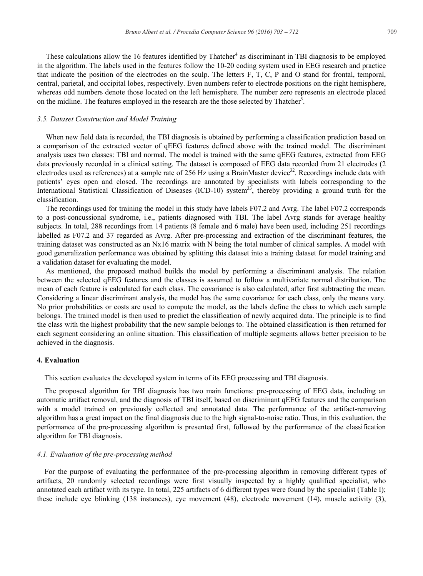These calculations allow the 16 features identified by Thatcher<sup>4</sup> as discriminant in TBI diagnosis to be employed in the algorithm. The labels used in the features follow the 10-20 coding system used in EEG research and practice that indicate the position of the electrodes on the sculp. The letters F, T, C, P and O stand for frontal, temporal, central, parietal, and occipital lobes, respectively. Even numbers refer to electrode positions on the right hemisphere, whereas odd numbers denote those located on the left hemisphere. The number zero represents an electrode placed on the midline. The features employed in the research are the those selected by Thatcher<sup>3</sup>.

## *3.5. Dataset Construction and Model Training*

When new field data is recorded, the TBI diagnosis is obtained by performing a classification prediction based on a comparison of the extracted vector of qEEG features defined above with the trained model. The discriminant analysis uses two classes: TBI and normal. The model is trained with the same qEEG features, extracted from EEG data previously recorded in a clinical setting. The dataset is composed of EEG data recorded from 21 electrodes (2 electrodes used as references) at a sample rate of 256 Hz using a BrainMaster device<sup>32</sup>. Recordings include data with patients' eyes open and closed. The recordings are annotated by specialists with labels corresponding to the International Statistical Classification of Diseases (ICD-10) system<sup>33</sup>, thereby providing a ground truth for the classification.

The recordings used for training the model in this study have labels F07.2 and Avrg. The label F07.2 corresponds to a post-concussional syndrome, i.e., patients diagnosed with TBI. The label Avrg stands for average healthy subjects. In total, 288 recordings from 14 patients (8 female and 6 male) have been used, including 251 recordings labelled as F07.2 and 37 regarded as Avrg. After pre-processing and extraction of the discriminant features, the training dataset was constructed as an Nx16 matrix with N being the total number of clinical samples. A model with good generalization performance was obtained by splitting this dataset into a training dataset for model training and a validation dataset for evaluating the model.

As mentioned, the proposed method builds the model by performing a discriminant analysis. The relation between the selected qEEG features and the classes is assumed to follow a multivariate normal distribution. The mean of each feature is calculated for each class. The covariance is also calculated, after first subtracting the mean. Considering a linear discriminant analysis, the model has the same covariance for each class, only the means vary. No prior probabilities or costs are used to compute the model, as the labels define the class to which each sample belongs. The trained model is then used to predict the classification of newly acquired data. The principle is to find the class with the highest probability that the new sample belongs to. The obtained classification is then returned for each segment considering an online situation. This classification of multiple segments allows better precision to be achieved in the diagnosis.

### **4. Evaluation**

This section evaluates the developed system in terms of its EEG processing and TBI diagnosis.

The proposed algorithm for TBI diagnosis has two main functions: pre-processing of EEG data, including an automatic artifact removal, and the diagnosis of TBI itself, based on discriminant qEEG features and the comparison with a model trained on previously collected and annotated data. The performance of the artifact-removing algorithm has a great impact on the final diagnosis due to the high signal-to-noise ratio. Thus, in this evaluation, the performance of the pre-processing algorithm is presented first, followed by the performance of the classification algorithm for TBI diagnosis.

#### *4.1. Evaluation of the pre-processing method*

For the purpose of evaluating the performance of the pre-processing algorithm in removing different types of artifacts, 20 randomly selected recordings were first visually inspected by a highly qualified specialist, who annotated each artifact with its type. In total, 225 artifacts of 6 different types were found by the specialist (Table I); these include eye blinking (138 instances), eye movement (48), electrode movement (14), muscle activity (3),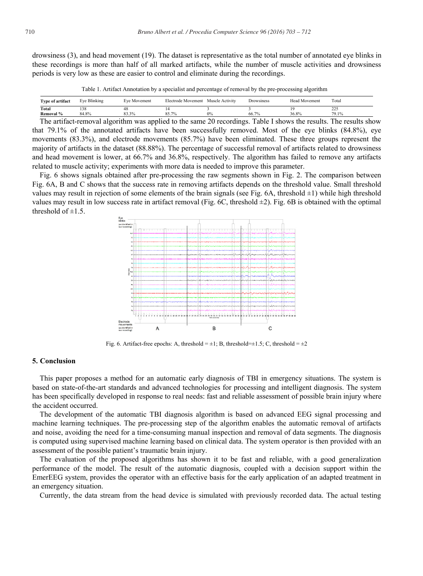drowsiness (3), and head movement (19). The dataset is representative as the total number of annotated eye blinks in these recordings is more than half of all marked artifacts, while the number of muscle activities and drowsiness periods is very low as these are easier to control and eliminate during the recordings.

Table 1. Artifact Annotation by a specialist and percentage of removal by the pre-processing algorithm

| Type of artifact                                                                  | Eve Blinking                                                                                                    | Eve Movement | Electrode Movement                              | Muscle Activity               | Drowsiness                                                                                                      | <b>Head Movement</b>     | Total                             |
|-----------------------------------------------------------------------------------|-----------------------------------------------------------------------------------------------------------------|--------------|-------------------------------------------------|-------------------------------|-----------------------------------------------------------------------------------------------------------------|--------------------------|-----------------------------------|
| Total                                                                             | 138                                                                                                             |              |                                                 |                               |                                                                                                                 |                          | 225<br>ن کے ک                     |
| Removal %                                                                         | 84.8%                                                                                                           | 83.3%        | 85.7%                                           | 0%                            | 66.7%                                                                                                           | 36.8%                    | 79.1%                             |
| the control of the control of the control of<br>the control of the control of the | the contract of the contract of the contract of the contract of the contract of the contract of the contract of |              | the contract of the contract of the contract of | the control of the control of | the contract of the contract of the contract of the contract of the contract of the contract of the contract of | <b>Contract Contract</b> | the control of the control of the |

The artifact-removal algorithm was applied to the same 20 recordings. Table I shows the results. The results show that 79.1% of the annotated artifacts have been successfully removed. Most of the eye blinks (84.8%), eye movements (83.3%), and electrode movements (85.7%) have been eliminated. These three groups represent the majority of artifacts in the dataset (88.88%). The percentage of successful removal of artifacts related to drowsiness and head movement is lower, at 66.7% and 36.8%, respectively. The algorithm has failed to remove any artifacts related to muscle activity; experiments with more data is needed to improve this parameter.

Fig. 6 shows signals obtained after pre-processing the raw segments shown in Fig. 2. The comparison between Fig. 6A, B and C shows that the success rate in removing artifacts depends on the threshold value. Small threshold values may result in rejection of some elements of the brain signals (see Fig. 6A, threshold ±1) while high threshold values may result in low success rate in artifact removal (Fig. 6C, threshold  $\pm 2$ ). Fig. 6B is obtained with the optimal threshold of  $\pm 1.5$ .



Fig. 6. Artifact-free epochs: A, threshold =  $\pm 1$ ; B, threshold= $\pm 1.5$ ; C, threshold =  $\pm 2$ 

#### **5. Conclusion**

This paper proposes a method for an automatic early diagnosis of TBI in emergency situations. The system is based on state-of-the-art standards and advanced technologies for processing and intelligent diagnosis. The system has been specifically developed in response to real needs: fast and reliable assessment of possible brain injury where the accident occurred.

The development of the automatic TBI diagnosis algorithm is based on advanced EEG signal processing and machine learning techniques. The pre-processing step of the algorithm enables the automatic removal of artifacts and noise, avoiding the need for a time-consuming manual inspection and removal of data segments. The diagnosis is computed using supervised machine learning based on clinical data. The system operator is then provided with an assessment of the possible patient's traumatic brain injury.

The evaluation of the proposed algorithms has shown it to be fast and reliable, with a good generalization performance of the model. The result of the automatic diagnosis, coupled with a decision support within the EmerEEG system, provides the operator with an effective basis for the early application of an adapted treatment in an emergency situation.

Currently, the data stream from the head device is simulated with previously recorded data. The actual testing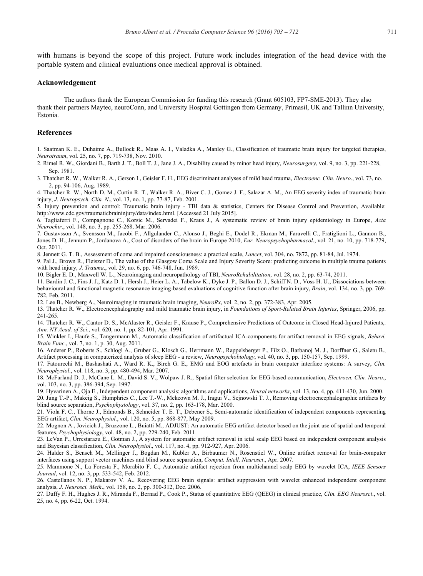with humans is beyond the scope of this project. Future work includes integration of the head device with the portable system and clinical evaluations once medical approval is obtained.

#### **Acknowledgement**

The authors thank the European Commission for funding this research (Grant 605103, FP7-SME-2013). They also thank their partners Maytec, neuroConn, and University Hospital Gottingen from Germany, Primasil, UK and Tallinn University, Estonia.

## **References**

1. Saatman K. E., Duhaime A., Bullock R., Maas A. I., Valadka A., Manley G., Classification of traumatic brain injury for targeted therapies, *Neurotraum*, vol. 25, no. 7, pp. 719-738, Nov. 2010.

2. Rimel R. W., Giordani B., Barth J. T., Boll T. J., Jane J. A., Disability caused by minor head injury, *Neurosurgery*, vol. 9, no. 3, pp. 221-228, Sep. 1981.

3. Thatcher R. W., Walker R. A., Gerson I., Geisler F. H., EEG discriminant analyses of mild head trauma, *Electroenc. Clin. Neuro*., vol. 73, no. 2, pp. 94-106, Aug. 1989.

4. Thatcher R. W., North D. M., Curtin R. T., Walker R. A., Biver C. J., Gomez J. F., Salazar A. M., An EEG severity index of traumatic brain injury, *J. Neuropsych. Clin. N*., vol. 13, no. 1, pp. 77-87, Feb. 2001.

5. Injury prevention and control: Traumatic brain injury - TBI data & statistics, Centers for Disease Control and Prevention, Available: http://www.cdc.gov/traumaticbraininjury/data/index.html. [Accessed 21 July 2015].

6. Tagliaferri F., Compagnone C., Korsic M., Servadei F., Kraus J., A systematic review of brain injury epidemiology in Europe, *Acta Neurochir*., vol. 148, no. 3, pp. 255-268, Mar. 2006.

7. Gustavsson A., Svensson M., Jacobi F., Allgulander C., Alonso J., Beghi E., Dodel R., Ekman M., Faravelli C., Fratiglioni L., Gannon B., Jones D. H., Jennum P., Jordanova A., Cost of disorders of the brain in Europe 2010, *Eur. Neuropsychopharmacol*., vol. 21, no. 10, pp. 718-779, Oct. 2011.

8. Jennett G. T. B., Assessment of coma and impaired consciousness: a practical scale, *Lancet*, vol. 304, no. 7872, pp. 81-84, Jul. 1974.

9. Pal J., Brown R., Fleiszer D., The value of the Glasgow Coma Scale and Injury Severity Score: predicting outcome in multiple trauma patients with head injury, *J. Trauma*., vol. 29, no. 6, pp. 746-748, Jun. 1989.

10. Bigler E. D., Maxwell W. L., Neuroimaging and neuropathology of TBI, *NeuroRehabilitation*, vol. 28, no. 2, pp. 63-74, 2011.

11. Bardin J. C., Fins J. J., Katz D. I., Hersh J., Heier L. A., Tabelow K., Dyke J. P., Ballon D. J., Schiff N. D., Voss H. U., Dissociations between behavioural and functional magnetic resonance imaging-based evaluations of cognitive function after brain injury, *Brain*, vol. 134, no. 3, pp. 769- 782, Feb. 2011.

12. Lee B., Newberg A., Neuroimaging in traumatic brain imaging, *NeuroRx*, vol. 2, no. 2, pp. 372-383, Apr. 2005.

13. Thatcher R. W., Electroencephalography and mild traumatic brain injury, in *Foundations of Sport-Related Brain Injuries*, Springer, 2006, pp. 241-265.

14. Thatcher R. W., Cantor D. S., McAlaster R., Geisler F., Krause P., Comprehensive Predictions of Outcome in Closed Head-Injured Patients,. *Ann. NY Acad. of Sci*., vol. 620, no. 1, pp. 82-101, Apr. 1991.

15. Winkler I., Haufe S., Tangermann M., Automatic classification of artifactual ICA-components for artifact removal in EEG signals, *Behavi. Brain Func*., vol. 7, no. 1, p. 30, Aug. 2011.

16. Anderer P., Roberts S., Schlogl A., Gruber G., Klosch G., Herrmann W., Rappelsberger P., Filz O., Barbanoj M. J., Dorffner G., Saletu B., Artifact processing in computerized analysis of sleep EEG - a review, *Neuropsychobiology*, vol. 40, no. 3, pp. 150-157, Sep. 1999.

17. Fatourechi M., Bashashati A., Ward R. K., Birch G. E., EMG and EOG artefacts in brain computer interface systems: A survey, *Clin. Neurophysiol*., vol. 118, no. 3, pp. 480-494, Mar. 2007.

18. McFarland D. J., McCane L. M., David S. V., Wolpaw J. R., Spatial filter selection for EEG-based communication, *Electroen. Clin. Neuro*., vol. 103, no. 3, pp. 386-394, Sep. 1997.

19. Hyvarinen A., Oja E., Independent component analysis: algorithms and applications, *Neural networks*, vol. 13, no. 4, pp. 411-430, Jun. 2000.

20. Jung T.-P., Makeig S., Humphries C., Lee T.-W., Mckeown M. J., Iragui V., Sejnowski T. J., Removing electroencephalographic artifacts by blind source separation, *Psychophysiology*, vol. 37, no. 2, pp. 163-178, Mar. 2000.

21. Viola F. C., Thorne J., Edmonds B., Schneider T. E. T., Debener S., Semi-automatic identification of independent components representing EEG artifact, *Clin. Neurophysiol*., vol. 120, no. 5, pp. 868-877, May 2009.

22. Mognon A., Jovicich J., Bruzzone L., Buiatti M., ADJUST: An automatic EEG artifact detector based on the joint use of spatial and temporal features, *Psychophysiology*, vol. 48, no. 2, pp. 229-240, Feb. 2011.

23. LeVan P., Urrestarazu E., Gotman J., A system for automatic artifact removal in ictal scalp EEG based on independent component analysis and Bayesian classification, *Clin. Neurophysiol*., vol. 117, no. 4, pp. 912-927, Apr. 2006.

24. Halder S., Bensch M., Mellinger J., Bogdan M., Kubler A., Birbaumer N., Rosenstiel W., Online artifact removal for brain-computer interfaces using support vector machines and blind source separation, *Comput. Intell. Neurosci*., Apr. 2007.

25. Mammone N., La Foresta F., Morabito F. C., Automatic artifact rejection from multichannel scalp EEG by wavelet ICA, *IEEE Sensors Journal*, vol. 12, no. 3, pp. 533-542, Feb. 2012.

26. Castellanos N. P., Makarov V. A., Recovering EEG brain signals: artifact suppression with wavelet enhanced independent component analysis, *J. Neurosci. Meth*., vol. 158, no. 2, pp. 300-312, Dec. 2006.

27. Duffy F. H., Hughes J. R., Miranda F., Bernad P., Cook P., Status of quantitative EEG (QEEG) in clinical practice, *Clin. EEG Neurosci*., vol. 25, no. 4, pp. 6-22, Oct. 1994.